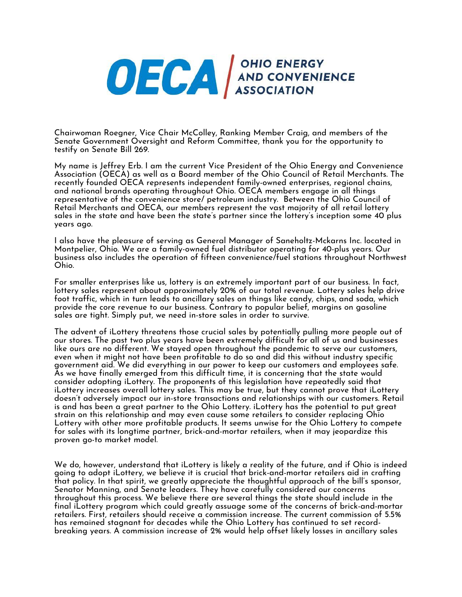

Chairwoman Roegner, Vice Chair McColley, Ranking Member Craig, and members of the Senate Government Oversight and Reform Committee, thank you for the opportunity to testify on Senate Bill 269.

My name is Jeffrey Erb. I am the current Vice President of the Ohio Energy and Convenience Association (OECA) as well as a Board member of the Ohio Council of Retail Merchants. The recently founded OECA represents independent family-owned enterprises, regional chains, and national brands operating throughout Ohio. OECA members engage in all things representative of the convenience store/ petroleum industry. Between the Ohio Council of Retail Merchants and OECA, our members represent the vast majority of all retail lottery sales in the state and have been the state's partner since the lottery's inception some 40 plus years ago.

I also have the pleasure of serving as General Manager of Saneholtz-Mckarns Inc. located in Montpelier, Ohio. We are a family-owned fuel distributor operating for 40-plus years. Our business also includes the operation of fifteen convenience/fuel stations throughout Northwest Ohio.

For smaller enterprises like us, lottery is an extremely important part of our business. In fact, lottery sales represent about approximately 20% of our total revenue. Lottery sales help drive foot traffic, which in turn leads to ancillary sales on things like candy, chips, and soda, which provide the core revenue to our business. Contrary to popular belief, margins on gasoline sales are tight. Simply put, we need in-store sales in order to survive.

The advent of iLottery threatens those crucial sales by potentially pulling more people out of our stores. The past two plus years have been extremely difficult for all of us and businesses like ours are no different. We stayed open throughout the pandemic to serve our customers, even when it might not have been profitable to do so and did this without industry specific government aid. We did everything in our power to keep our customers and employees safe. As we have finally emerged from this difficult time, it is concerning that the state would consider adopting iLottery. The proponents of this legislation have repeatedly said that iLottery increases overall lottery sales. This may be true, but they cannot prove that iLottery doesn't adversely impact our in-store transactions and relationships with our customers. Retail is and has been a great partner to the Ohio Lottery. iLottery has the potential to put great strain on this relationship and may even cause some retailers to consider replacing Ohio Lottery with other more profitable products. It seems unwise for the Ohio Lottery to compete for sales with its longtime partner, brick-and-mortar retailers, when it may jeopardize this proven go-to market model.

We do, however, understand that iLottery is likely a reality of the future, and if Ohio is indeed going to adopt iLottery, we believe it is crucial that brick-and-mortar retailers aid in crafting that policy. In that spirit, we greatly appreciate the thoughtful approach of the bill's sponsor, Senator Manning, and Senate leaders. They have carefully considered our concerns throughout this process. We believe there are several things the state should include in the final iLottery program which could greatly assuage some of the concerns of brick-and-mortar retailers. First, retailers should receive a commission increase. The current commission of 5.5% has remained stagnant for decades while the Ohio Lottery has continued to set recordbreaking years. A commission increase of 2% would help offset likely losses in ancillary sales